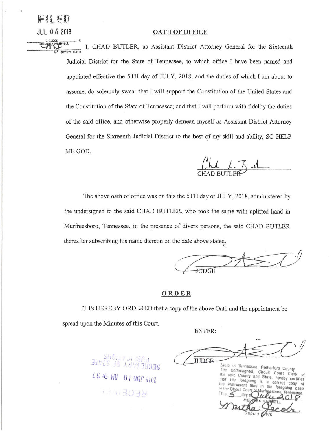## **JUL O 5 2018 OATH OF OFFICE**

 $FH$  $E$  $D$ 

C'CLOCK<br>MELISSA HARTIEL I, CHAD BUTLER, as Assistant District Attorney General for the Sixteenth **DEPUTY** CL£AI( Judicial District for the State of Tennessee, to which office I have been named and appointed effective the 5TH day of JULY, 2018, and the duties of which I am about to assume, do solemnly swear that I will support the Constitution of the United States and the Constitution of the State of Tennessee; and that I will perform with fidelity the duties of the said office, and otherwise properly demean myself as Assistant District Attorney General for the Sixteenth Judicial District to the best of my skill and ability, SO HELP ME GOD.

CHAD BUTLER

The above oath of office was on this the 5TH day of JULY, 2018, administered by the undersigned to the said CHAD BUTLER, who took the same with uplifted hand in Murfreesboro, Tennessee, in the presence of divers persons, the said CHAD BUTLER thereafter subscribing his name thereon on the date above stated.



## **ORDER**

1T IS HEREBY ORDERED that a copy of the above Oath and the appointment be spread upon the Minutes of this Court.

ENTER:

**basi io tribus**  $\left(\frac{1}{2}\right)$ ' • .! **; ( \_,\_,J..:J'-,,**  LS :G *bJ~* 0 I Nflf' b/0Z i, : , . " *1* **.f** " '

**JUDGE-**State of Tennessee, Rutherford County The undersigned, Fittihertord County<br>the said County and State Court Clerk the said County and State, hereby certifies that the foregoing is correct copy of 設 the instrument filed in foregoing case Iha In the Ctrouit Cour This